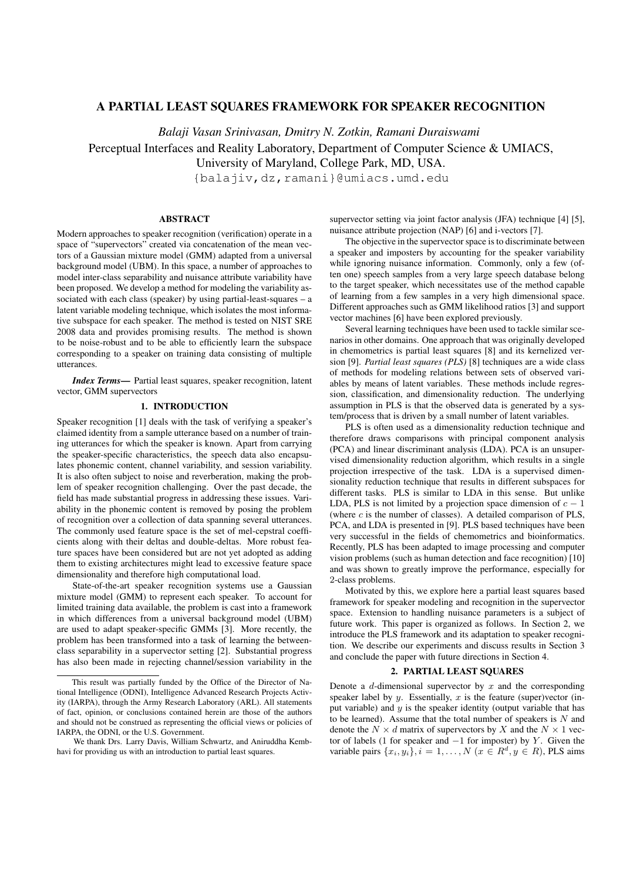# A PARTIAL LEAST SQUARES FRAMEWORK FOR SPEAKER RECOGNITION

*Balaji Vasan Srinivasan, Dmitry N. Zotkin, Ramani Duraiswami*

Perceptual Interfaces and Reality Laboratory, Department of Computer Science & UMIACS,

University of Maryland, College Park, MD, USA.

{balajiv,dz,ramani}@umiacs.umd.edu

### ABSTRACT

Modern approaches to speaker recognition (verification) operate in a space of "supervectors" created via concatenation of the mean vectors of a Gaussian mixture model (GMM) adapted from a universal background model (UBM). In this space, a number of approaches to model inter-class separability and nuisance attribute variability have been proposed. We develop a method for modeling the variability associated with each class (speaker) by using partial-least-squares – a latent variable modeling technique, which isolates the most informative subspace for each speaker. The method is tested on NIST SRE 2008 data and provides promising results. The method is shown to be noise-robust and to be able to efficiently learn the subspace corresponding to a speaker on training data consisting of multiple utterances.

*Index Terms*— Partial least squares, speaker recognition, latent vector, GMM supervectors

# 1. INTRODUCTION

Speaker recognition [1] deals with the task of verifying a speaker's claimed identity from a sample utterance based on a number of training utterances for which the speaker is known. Apart from carrying the speaker-specific characteristics, the speech data also encapsulates phonemic content, channel variability, and session variability. It is also often subject to noise and reverberation, making the problem of speaker recognition challenging. Over the past decade, the field has made substantial progress in addressing these issues. Variability in the phonemic content is removed by posing the problem of recognition over a collection of data spanning several utterances. The commonly used feature space is the set of mel-cepstral coefficients along with their deltas and double-deltas. More robust feature spaces have been considered but are not yet adopted as adding them to existing architectures might lead to excessive feature space dimensionality and therefore high computational load.

State-of-the-art speaker recognition systems use a Gaussian mixture model (GMM) to represent each speaker. To account for limited training data available, the problem is cast into a framework in which differences from a universal background model (UBM) are used to adapt speaker-specific GMMs [3]. More recently, the problem has been transformed into a task of learning the betweenclass separability in a supervector setting [2]. Substantial progress has also been made in rejecting channel/session variability in the

supervector setting via joint factor analysis (JFA) technique [4] [5], nuisance attribute projection (NAP) [6] and i-vectors [7].

The objective in the supervector space is to discriminate between a speaker and imposters by accounting for the speaker variability while ignoring nuisance information. Commonly, only a few (often one) speech samples from a very large speech database belong to the target speaker, which necessitates use of the method capable of learning from a few samples in a very high dimensional space. Different approaches such as GMM likelihood ratios [3] and support vector machines [6] have been explored previously.

Several learning techniques have been used to tackle similar scenarios in other domains. One approach that was originally developed in chemometrics is partial least squares [8] and its kernelized version [9]. *Partial least squares (PLS)* [8] techniques are a wide class of methods for modeling relations between sets of observed variables by means of latent variables. These methods include regression, classification, and dimensionality reduction. The underlying assumption in PLS is that the observed data is generated by a system/process that is driven by a small number of latent variables.

PLS is often used as a dimensionality reduction technique and therefore draws comparisons with principal component analysis (PCA) and linear discriminant analysis (LDA). PCA is an unsupervised dimensionality reduction algorithm, which results in a single projection irrespective of the task. LDA is a supervised dimensionality reduction technique that results in different subspaces for different tasks. PLS is similar to LDA in this sense. But unlike LDA, PLS is not limited by a projection space dimension of  $c - 1$ (where  $c$  is the number of classes). A detailed comparison of PLS, PCA, and LDA is presented in [9]. PLS based techniques have been very successful in the fields of chemometrics and bioinformatics. Recently, PLS has been adapted to image processing and computer vision problems (such as human detection and face recognition) [10] and was shown to greatly improve the performance, especially for 2-class problems.

Motivated by this, we explore here a partial least squares based framework for speaker modeling and recognition in the supervector space. Extension to handling nuisance parameters is a subject of future work. This paper is organized as follows. In Section 2, we introduce the PLS framework and its adaptation to speaker recognition. We describe our experiments and discuss results in Section 3 and conclude the paper with future directions in Section 4.

### 2. PARTIAL LEAST SQUARES

Denote a *d*-dimensional supervector by *x* and the corresponding speaker label by  $y$ . Essentially,  $x$  is the feature (super)vector (input variable) and  $y$  is the speaker identity (output variable that has to be learned). Assume that the total number of speakers is *N* and denote the  $N \times d$  matrix of supervectors by *X* and the  $N \times 1$  vector of labels (1 for speaker and *−*1 for imposter) by *Y* . Given the variable pairs  $\{x_i, y_i\}, i = 1, \ldots, N \ (x \in R^d, y \in R)$ , PLS aims

This result was partially funded by the Office of the Director of National Intelligence (ODNI), Intelligence Advanced Research Projects Activity (IARPA), through the Army Research Laboratory (ARL). All statements of fact, opinion, or conclusions contained herein are those of the authors and should not be construed as representing the official views or policies of IARPA, the ODNI, or the U.S. Government.

We thank Drs. Larry Davis, William Schwartz, and Aniruddha Kembhavi for providing us with an introduction to partial least squares.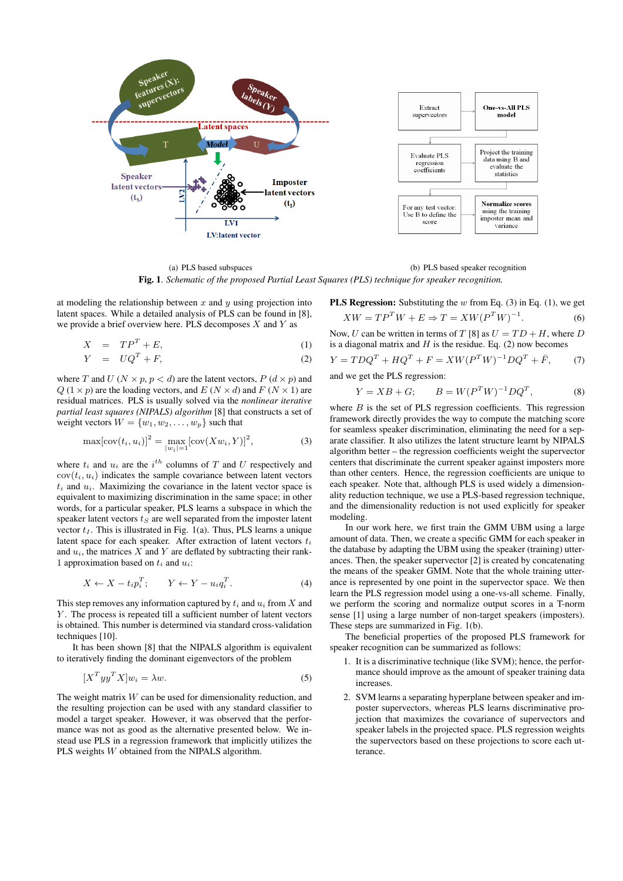

(a) PLS based subspaces (b) PLS based speaker recognition Fig. 1. *Schematic of the proposed Partial Least Squares (PLS) technique for speaker recognition.*

at modeling the relationship between *x* and *y* using projection into latent spaces. While a detailed analysis of PLS can be found in [8], we provide a brief overview here. PLS decomposes *X* and *Y* as

$$
X = TP^T + E,\tag{1}
$$

$$
Y = UQ^T + F,\t\t(2)
$$

where *T* and *U* ( $N \times p$ ,  $p < d$ ) are the latent vectors,  $P(d \times p)$  and  $Q(1 \times p)$  are the loading vectors, and  $E(N \times d)$  and  $F(N \times 1)$  are residual matrices. PLS is usually solved via the *nonlinear iterative partial least squares (NIPALS) algorithm* [8] that constructs a set of weight vectors  $W = \{w_1, w_2, \dots, w_p\}$  such that

$$
\max[\text{cov}(t_i, u_i)]^2 = \max_{|w_i|=1} [\text{cov}(Xw_i, Y)]^2,
$$
 (3)

where  $t_i$  and  $u_i$  are the  $i^{th}$  columns of  $T$  and  $U$  respectively and  $cov(t_i, u_i)$  indicates the sample covariance between latent vectors  $t_i$  and  $u_i$ . Maximizing the covariance in the latent vector space is equivalent to maximizing discrimination in the same space; in other words, for a particular speaker, PLS learns a subspace in which the speaker latent vectors *t<sup>S</sup>* are well separated from the imposter latent vector  $t_I$ . This is illustrated in Fig. 1(a). Thus, PLS learns a unique latent space for each speaker. After extraction of latent vectors *t<sup>i</sup>* and  $u_i$ , the matrices  $X$  and  $Y$  are deflated by subtracting their rank-1 approximation based on *t<sup>i</sup>* and *ui*:

$$
X \leftarrow X - t_i p_i^T; \qquad Y \leftarrow Y - u_i q_i^T. \tag{4}
$$

This step removes any information captured by *t<sup>i</sup>* and *u<sup>i</sup>* from *X* and *Y*. The process is repeated till a sufficient number of latent vectors is obtained. This number is determined via standard cross-validation techniques [10].

It has been shown [8] that the NIPALS algorithm is equivalent to iteratively finding the dominant eigenvectors of the problem

$$
[X^T y y^T X] w_i = \lambda w. \tag{5}
$$

The weight matrix *W* can be used for dimensionality reduction, and the resulting projection can be used with any standard classifier to model a target speaker. However, it was observed that the performance was not as good as the alternative presented below. We instead use PLS in a regression framework that implicitly utilizes the PLS weights *W* obtained from the NIPALS algorithm.

**PLS Regression:** Substituting the *w* from Eq. (3) in Eq. (1), we get  
\n
$$
XW = TP^T W + E \Rightarrow T = XW(P^T W)^{-1}.
$$
\n(6)

Now, *U* can be written in terms of *T* [8] as  $U = TD + H$ , where *D* is a diagonal matrix and  $H$  is the residue. Eq. (2) now becomes

$$
Y = T D Q^{T} + H Q^{T} + F = X W (P^{T} W)^{-1} D Q^{T} + \bar{F}, \qquad (7)
$$

and we get the PLS regression:

$$
Y = XB + G; \t B = W(P^T W)^{-1} DQ^T,
$$
 (8)

where *B* is the set of PLS regression coefficients. This regression framework directly provides the way to compute the matching score for seamless speaker discrimination, eliminating the need for a separate classifier. It also utilizes the latent structure learnt by NIPALS algorithm better – the regression coefficients weight the supervector centers that discriminate the current speaker against imposters more than other centers. Hence, the regression coefficients are unique to each speaker. Note that, although PLS is used widely a dimensionality reduction technique, we use a PLS-based regression technique, and the dimensionality reduction is not used explicitly for speaker modeling.

In our work here, we first train the GMM UBM using a large amount of data. Then, we create a specific GMM for each speaker in the database by adapting the UBM using the speaker (training) utterances. Then, the speaker supervector [2] is created by concatenating the means of the speaker GMM. Note that the whole training utterance is represented by one point in the supervector space. We then learn the PLS regression model using a one-vs-all scheme. Finally, we perform the scoring and normalize output scores in a T-norm sense [1] using a large number of non-target speakers (imposters). These steps are summarized in Fig. 1(b).

The beneficial properties of the proposed PLS framework for speaker recognition can be summarized as follows:

- 1. It is a discriminative technique (like SVM); hence, the performance should improve as the amount of speaker training data increases.
- 2. SVM learns a separating hyperplane between speaker and imposter supervectors, whereas PLS learns discriminative projection that maximizes the covariance of supervectors and speaker labels in the projected space. PLS regression weights the supervectors based on these projections to score each utterance.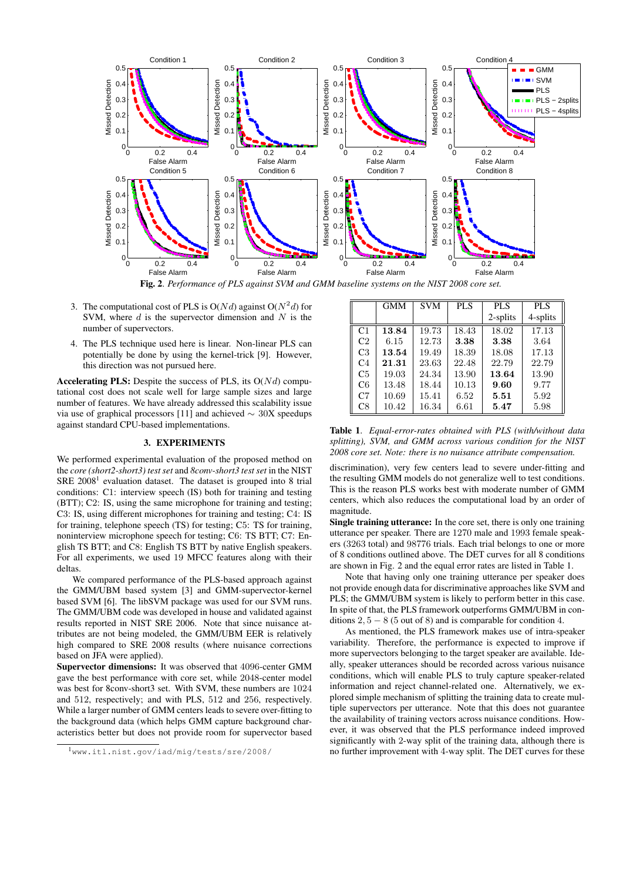

Fig. 2. *Performance of PLS against SVM and GMM baseline systems on the NIST 2008 core set.*

- 3. The computational cost of PLS is  $O(Nd)$  against  $O(N^2d)$  for SVM, where *d* is the supervector dimension and *N* is the number of supervectors.
- 4. The PLS technique used here is linear. Non-linear PLS can potentially be done by using the kernel-trick [9]. However, this direction was not pursued here.

Accelerating PLS: Despite the success of PLS, its O(*N d*) computational cost does not scale well for large sample sizes and large number of features. We have already addressed this scalability issue via use of graphical processors [11] and achieved *∼* 30X speedups against standard CPU-based implementations.

## 3. EXPERIMENTS

We performed experimental evaluation of the proposed method on the *core (short2-short3) test set* and *8conv-short3 test set* in the NIST SRE  $2008<sup>1</sup>$  evaluation dataset. The dataset is grouped into 8 trial conditions: C1: interview speech (IS) both for training and testing (BTT); C2: IS, using the same microphone for training and testing; C3: IS, using different microphones for training and testing; C4: IS for training, telephone speech (TS) for testing; C5: TS for training, noninterview microphone speech for testing; C6: TS BTT; C7: English TS BTT; and C8: English TS BTT by native English speakers. For all experiments, we used 19 MFCC features along with their deltas.

We compared performance of the PLS-based approach against the GMM/UBM based system [3] and GMM-supervector-kernel based SVM [6]. The libSVM package was used for our SVM runs. The GMM/UBM code was developed in house and validated against results reported in NIST SRE 2006. Note that since nuisance attributes are not being modeled, the GMM/UBM EER is relatively high compared to SRE 2008 results (where nuisance corrections based on JFA were applied).

Supervector dimensions: It was observed that 4096-center GMM gave the best performance with core set, while 2048-center model was best for 8conv-short3 set. With SVM, these numbers are 1024 and 512, respectively; and with PLS, 512 and 256, respectively. While a larger number of GMM centers leads to severe over-fitting to the background data (which helps GMM capture background characteristics better but does not provide room for supervector based

|                | <b>GMM</b> | <b>SVM</b> | <b>PLS</b> | PLS      | PLS      |
|----------------|------------|------------|------------|----------|----------|
|                |            |            |            | 2-splits | 4-splits |
| C1             | 13.84      | 19.73      | 18.43      | 18.02    | 17.13    |
| C <sub>2</sub> | 6.15       | 12.73      | 3.38       | 3.38     | 3.64     |
| C <sub>3</sub> | 13.54      | 19.49      | 18.39      | 18.08    | 17.13    |
| C4             | 21.31      | 23.63      | 22.48      | 22.79    | 22.79    |
| C <sub>5</sub> | 19.03      | 24.34      | 13.90      | 13.64    | 13.90    |
| C6             | 13.48      | 18.44      | 10.13      | 9.60     | 9.77     |
| C <sub>7</sub> | 10.69      | 15.41      | 6.52       | 5.51     | 5.92     |
| C8             | 10.42      | 16.34      | 6.61       | 5.47     | 5.98     |

Table 1. *Equal-error-rates obtained with PLS (with/without data splitting), SVM, and GMM across various condition for the NIST 2008 core set. Note: there is no nuisance attribute compensation.*

discrimination), very few centers lead to severe under-fitting and the resulting GMM models do not generalize well to test conditions. This is the reason PLS works best with moderate number of GMM centers, which also reduces the computational load by an order of magnitude.

Single training utterance: In the core set, there is only one training utterance per speaker. There are 1270 male and 1993 female speakers (3263 total) and 98776 trials. Each trial belongs to one or more of 8 conditions outlined above. The DET curves for all 8 conditions are shown in Fig. 2 and the equal error rates are listed in Table 1.

Note that having only one training utterance per speaker does not provide enough data for discriminative approaches like SVM and PLS; the GMM/UBM system is likely to perform better in this case. In spite of that, the PLS framework outperforms GMM/UBM in conditions 2*,* 5 *−* 8 (5 out of 8) and is comparable for condition 4.

As mentioned, the PLS framework makes use of intra-speaker variability. Therefore, the performance is expected to improve if more supervectors belonging to the target speaker are available. Ideally, speaker utterances should be recorded across various nuisance conditions, which will enable PLS to truly capture speaker-related information and reject channel-related one. Alternatively, we explored simple mechanism of splitting the training data to create multiple supervectors per utterance. Note that this does not guarantee the availability of training vectors across nuisance conditions. However, it was observed that the PLS performance indeed improved significantly with 2-way split of the training data, although there is no further improvement with 4-way split. The DET curves for these

<sup>1</sup>www.itl.nist.gov/iad/mig/tests/sre/2008/